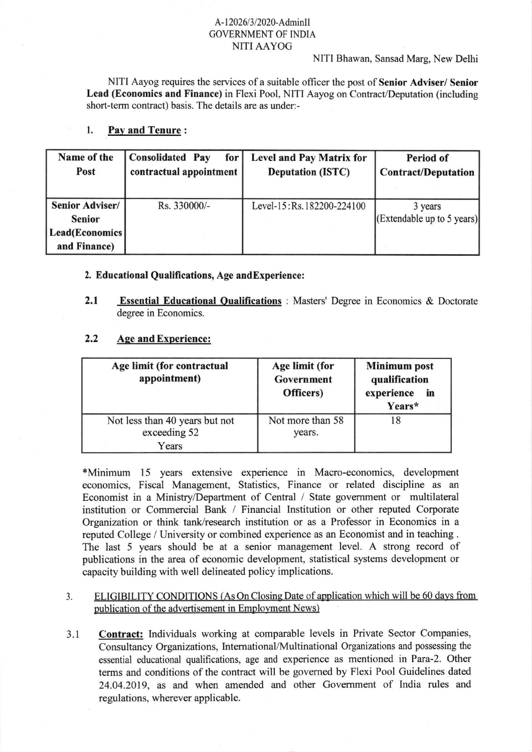## A-12026/3/2020-AdminII GOVERNMENT OF INDIA NITIAAYOG

NITI Bhawan, Sansad Marg, New Delhi

NITI Aayog requires the services of a suitable officer the post of Senior Adviser/ Senior Lead (Economics and Finance) in Flexi Pool, NITI Aayog on Contract/Deputation (including short-term contract) basis. The details are as under:-

## l. Pav and Tenure:

| Name of the<br>Post                                                       | Consolidated Pay<br>for<br>contractual appointment | <b>Level and Pay Matrix for</b><br><b>Deputation (ISTC)</b> | <b>Period of</b><br><b>Contract/Deputation</b> |
|---------------------------------------------------------------------------|----------------------------------------------------|-------------------------------------------------------------|------------------------------------------------|
| <b>Senior Adviser/</b><br><b>Senior</b><br>Lead(Economics<br>and Finance) | Rs. 330000/-                                       | Level-15: Rs. 182200-224100                                 | 3 years<br>(Extendable up to 5 years)          |

## 2. Educational Qualifications, Age andExperience:

2.1 Essential Educational Qualifications : Masters' Degree in Economics & Doctorate degree in Economics.

## 2.2 Aqe and Experience:

| Age limit (for contractual<br>appointment)              | Age limit (for<br>Government<br>Officers) | <b>Minimum</b> post<br>qualification<br>experience<br>in<br>Years* |
|---------------------------------------------------------|-------------------------------------------|--------------------------------------------------------------------|
| Not less than 40 years but not<br>exceeding 52<br>Years | Not more than 58<br>years.                |                                                                    |

+Minimum 15 years extensive experience in Macro-economics, development economics, Fiscal Management, Statistics, Finance or related discipline as an Economist in a Ministry/Department of Central / State government or multilateral institution or Commercial Bank / Financial Institution or other reputed Corporate Organization or think tank/research institution or as a Professor in Economics in <sup>a</sup> reputed College / University or combined experience as an Economist and in teaching . The last 5 years should be at a senior management level. A strong record of publications in the area of economic development, statistical systems development or capacity building with well delineated policy implications.

- 3. ELIGIBILITY CONDITIONS (As On Closing Date of application which will be 60 days from publication of the advertisement in Employment News)
- Contract: Individuals working at comparable levels in Private Sector Companies, Consultancy Organizations, Intemational/Multinational Organizations and possessing the essential educational qualifications, age and experience as mentioned in Para-2. Other terms and conditions of the contract will be govemed by Flexi Pool Guidelines dated 24.04.2019, as and when amended and other Govemment of India rules and regulations, wherever applicable. 3.1